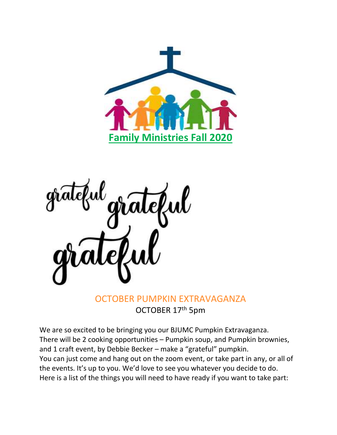



## OCTOBER PUMPKIN EXTRAVAGANZA OCTOBER 17th 5pm

We are so excited to be bringing you our BJUMC Pumpkin Extravaganza. There will be 2 cooking opportunities - Pumpkin soup, and Pumpkin brownies, and 1 craft event, by Debbie Becker – make a "grateful" pumpkin. You can just come and hang out on the zoom event, or take part in any, or all of the events. It's up to you. We'd love to see you whatever you decide to do. Here is a list of the things you will need to have ready if you want to take part: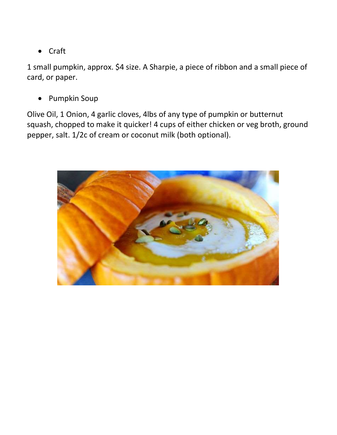• Craft

1 small pumpkin, approx. \$4 size. A Sharpie, a piece of ribbon and a small piece of card, or paper.

• Pumpkin Soup

Olive Oil, 1 Onion, 4 garlic cloves, 4lbs of any type of pumpkin or butternut squash, chopped to make it quicker! 4 cups of either chicken or veg broth, ground pepper, salt. 1/2c of cream or coconut milk (both optional).